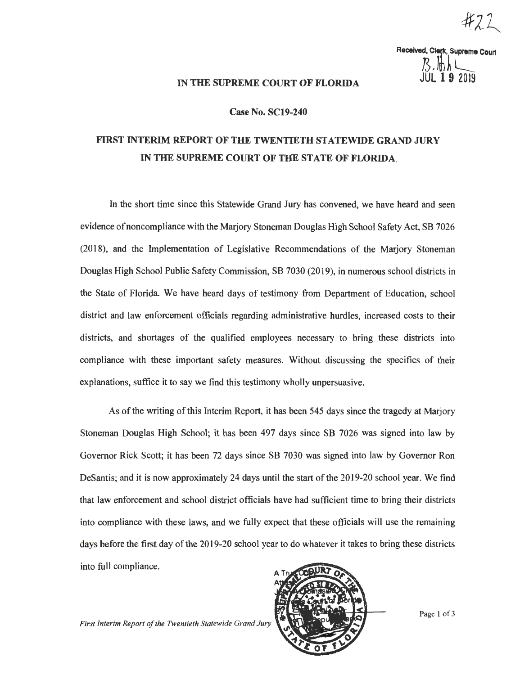Received, Clerk, Supreme Court<br>
7<br> **101. 19** 2019

## IN THE SUPREME COURT OF FLORIDA

## **Case No. SC19-240**

## FIRST INTERIM REPORT OF THE TWENTIETH STATEWIDE GRAND JURY IN **THE SUPREME COURT OF THE STATE OF FLORIDA.**

In the short time since this Statewide Grand Jury has convened, we have heard and seen evidence of noncompliance with the Marjory Stoneman Douglas High School Safety Act, SB 7026 (2018), and the Implementation of Legislative Recommendations of the Marjory Stoneman Douglas High School Public Safety Commission, SB 7030 (2019), in numerous school districts in the State of Florida. We have heard days of testimony from Department of Education, school district and law enforcement officials regarding administrative hurdles, increased costs to their districts, and shortages of the qualified employees necessary to bring these districts into compliance with these important safety measures. Without discussing the specifics of their explanations, suffice it to say we find this testimony wholly unpersuasive.

As of the writing of this Interim Report, it has been 545 days since the tragedy at Marjory Stoneman Douglas High School; it has been 497 days since SB 7026 was signed into law by Governor Rick Scott; it has been 72 days since SB 7030 was signed into law by Governor Ron DeSantis; and it is now approximately 24 days until the start of the 2019-20 school year. We find that law enforcement and school district officials have had sufficient time to bring their districts into compliance with these laws, and we fully expect that these officials will use the remaining days before the first day of the 2019-20 school year to do whatever it takes to bring these districts into full compliance.

*First Interim Report of the Twentieth Statewide Grand Jury* 

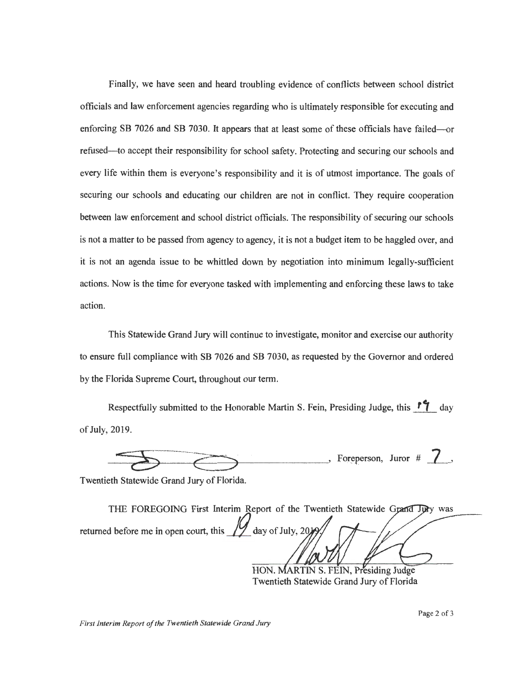Finally, we have seen and heard troubling evidence of conflicts between school district officials and law enforcement agencies regarding who is ultimately responsible for executing and enforcing SB 7026 and SB 7030. It appears that at least some of these officials have failed---refused-to accept their responsibility for school safety. Protecting and securing our schools and every life within them is everyone's responsibility and it is of utmost importance. The goals of securing our schools and educating our children are not in conflict. They require cooperation between law enforcement and school district officials. The responsibility of securing our schools is not a matter to be passed from agency to agency, it is not a budget item to be haggled over, and it is not an agenda issue to be whittled down by negotiation into minimum legally-sufficient actions. Now is the time for everyone tasked with implementing and enforcing these laws to take action.

This Statewide Grand Jury will continue to investigate, monitor and exercise our authority to ensure full compliance with SB 7026 and SB 7030, as requested by the Governor and ordered by the Florida Supreme Court, throughout our term.

Respectfully submitted to the Honorable Martin S. Fein, Presiding Judge, this  $\mathbf{f}^{\bullet}$  day of July, 2019.

*--~*c::::: *o*  $\cdot$ , Foreperson, Juror #  $\cdot$  ,

Twentieth Statewide Grand Jury of Florida.

THE FOREGOING First Interim Report of the Twentieth Statewide Grand Jury was returned before me in open court, this  $\frac{1}{2}$  day of July, 20).

HON. MARTIN S. FEIN, Presiding Judge Twentieth Statewide Grand Jury of Florida